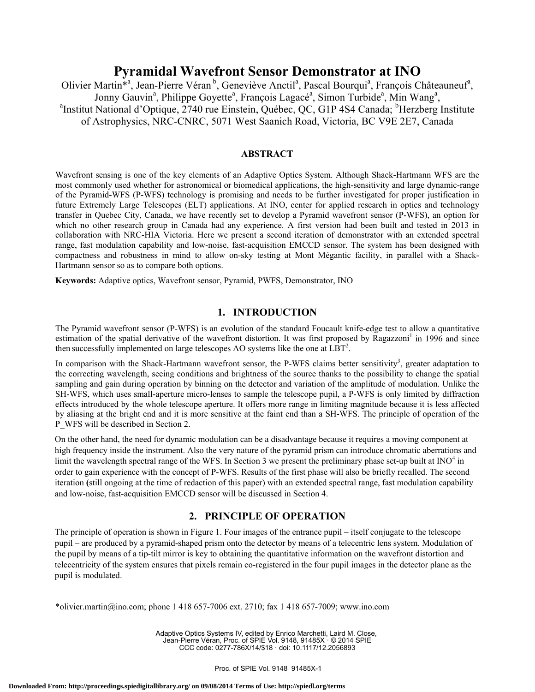# **Pyramidal Wavefront Sensor Demonstrator at INO**

Olivier Martin<sup>\*a</sup>, Jean-Pierre Véran<sup>b</sup>, Geneviève Anctil<sup>a</sup>, Pascal Bourqui<sup>a</sup>, François Châteauneuf<sup>a</sup>, Jonny Gauvin<sup>a</sup>, Philippe Goyette<sup>a</sup>, François Lagacé<sup>a</sup>, Simon Turbide<sup>a</sup>, Min Wang<sup>a</sup>,<br><sup>a</sup>Institut National d'Optique, 2740 rue Finstein, Québec, OC, G1P 484 Canada; <sup>b</sup>Herzberg I Institut National d'Optique, 2740 rue Einstein, Québec, QC, G1P 4S4 Canada; <sup>b</sup>Herzberg Institute of Astrophysics, NRC-CNRC, 5071 West Saanich Road, Victoria, BC V9E 2E7, Canada

### **ABSTRACT**

Wavefront sensing is one of the key elements of an Adaptive Optics System. Although Shack-Hartmann WFS are the most commonly used whether for astronomical or biomedical applications, the high-sensitivity and large dynamic-range of the Pyramid-WFS (P-WFS) technology is promising and needs to be further investigated for proper justification in future Extremely Large Telescopes (ELT) applications. At INO, center for applied research in optics and technology transfer in Quebec City, Canada, we have recently set to develop a Pyramid wavefront sensor (P-WFS), an option for which no other research group in Canada had any experience. A first version had been built and tested in 2013 in collaboration with NRC-HIA Victoria. Here we present a second iteration of demonstrator with an extended spectral range, fast modulation capability and low-noise, fast-acquisition EMCCD sensor. The system has been designed with compactness and robustness in mind to allow on-sky testing at Mont Mégantic facility, in parallel with a Shack-Hartmann sensor so as to compare both options.

**Keywords:** Adaptive optics, Wavefront sensor, Pyramid, PWFS, Demonstrator, INO

### **1. INTRODUCTION**

The Pyramid wavefront sensor (P-WFS) is an evolution of the standard Foucault knife-edge test to allow a quantitative estimation of the spatial derivative of the wavefront distortion. It was first proposed by Ragazzoni<sup>1</sup> in 1996 and since then successfully implemented on large telescopes AO systems like the one at  $LBT^2$ .

In comparison with the Shack-Hartmann wavefront sensor, the P-WFS claims better sensitivity<sup>3</sup>, greater adaptation to the correcting wavelength, seeing conditions and brightness of the source thanks to the possibility to change the spatial sampling and gain during operation by binning on the detector and variation of the amplitude of modulation. Unlike the SH-WFS, which uses small-aperture micro-lenses to sample the telescope pupil, a P-WFS is only limited by diffraction effects introduced by the whole telescope aperture. It offers more range in limiting magnitude because it is less affected by aliasing at the bright end and it is more sensitive at the faint end than a SH-WFS. The principle of operation of the P\_WFS will be described in Section 2.

On the other hand, the need for dynamic modulation can be a disadvantage because it requires a moving component at high frequency inside the instrument. Also the very nature of the pyramid prism can introduce chromatic aberrations and limit the wavelength spectral range of the WFS. In Section 3 we present the preliminary phase set-up built at  $\text{INO}^4$  in order to gain experience with the concept of P-WFS. Results of the first phase will also be briefly recalled. The second iteration **(**still ongoing at the time of redaction of this paper) with an extended spectral range, fast modulation capability and low-noise, fast-acquisition EMCCD sensor will be discussed in Section 4.

### **2. PRINCIPLE OF OPERATION**

The principle of operation is shown in Figure 1. Four images of the entrance pupil – itself conjugate to the telescope pupil – are produced by a pyramid-shaped prism onto the detector by means of a telecentric lens system. Modulation of the pupil by means of a tip-tilt mirror is key to obtaining the quantitative information on the wavefront distortion and telecentricity of the system ensures that pixels remain co-registered in the four pupil images in the detector plane as the pupil is modulated.

\*olivier.martin@ino.com; phone 1 418 657-7006 ext. 2710; fax 1 418 657-7009; www.ino.com

Adaptive Optics Systems IV, edited by Enrico Marchetti, Laird M. Close, Jean-Pierre Véran, Proc. of SPIE Vol. 9148, 91485X · © 2014 SPIE CCC code: 0277-786X/14/\$18 · doi: 10.1117/12.2056893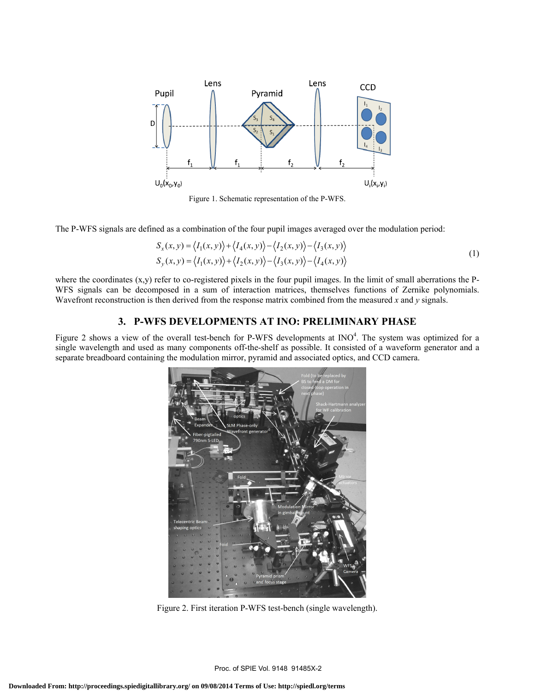

Figure 1. Schematic representation of the P-WFS.

The P-WFS signals are defined as a combination of the four pupil images averaged over the modulation period:

$$
S_x(x, y) = \langle I_1(x, y) \rangle + \langle I_4(x, y) \rangle - \langle I_2(x, y) \rangle - \langle I_3(x, y) \rangle
$$
  
\n
$$
S_y(x, y) = \langle I_1(x, y) \rangle + \langle I_2(x, y) \rangle - \langle I_3(x, y) \rangle - \langle I_4(x, y) \rangle
$$
 (1)

where the coordinates  $(x,y)$  refer to co-registered pixels in the four pupil images. In the limit of small aberrations the P-WFS signals can be decomposed in a sum of interaction matrices, themselves functions of Zernike polynomials. Wavefront reconstruction is then derived from the response matrix combined from the measured *x* and *y* signals.

### **3. P-WFS DEVELOPMENTS AT INO: PRELIMINARY PHASE**

Figure 2 shows a view of the overall test-bench for P-WFS developments at  $INO<sup>4</sup>$ . The system was optimized for a single wavelength and used as many components off-the-shelf as possible. It consisted of a waveform generator and a separate breadboard containing the modulation mirror, pyramid and associated optics, and CCD camera.



Figure 2. First iteration P-WFS test-bench (single wavelength).

Proc. of SPIE Vol. 9148 91485X-2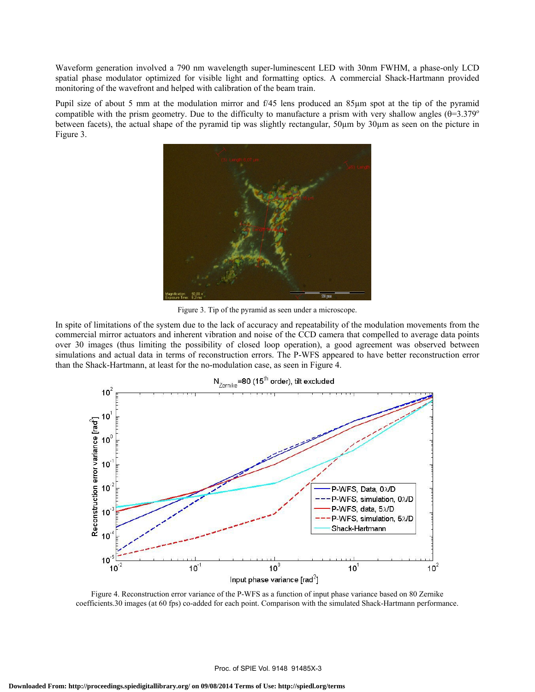Waveform generation involved a 790 nm wavelength super-luminescent LED with 30nm FWHM, a phase-only LCD spatial phase modulator optimized for visible light and formatting optics. A commercial Shack-Hartmann provided monitoring of the wavefront and helped with calibration of the beam train.

Pupil size of about 5 mm at the modulation mirror and f/45 lens produced an 85µm spot at the tip of the pyramid compatible with the prism geometry. Due to the difficulty to manufacture a prism with very shallow angles  $(\theta=3.379^{\circ}$ between facets), the actual shape of the pyramid tip was slightly rectangular, 50µm by 30µm as seen on the picture in Figure 3.



Figure 3. Tip of the pyramid as seen under a microscope.

In spite of limitations of the system due to the lack of accuracy and repeatability of the modulation movements from the commercial mirror actuators and inherent vibration and noise of the CCD camera that compelled to average data points over 30 images (thus limiting the possibility of closed loop operation), a good agreement was observed between simulations and actual data in terms of reconstruction errors. The P-WFS appeared to have better reconstruction error than the Shack-Hartmann, at least for the no-modulation case, as seen in Figure 4.



Figure 4. Reconstruction error variance of the P-WFS as a function of input phase variance based on 80 Zernike coefficients.30 images (at 60 fps) co-added for each point. Comparison with the simulated Shack-Hartmann performance.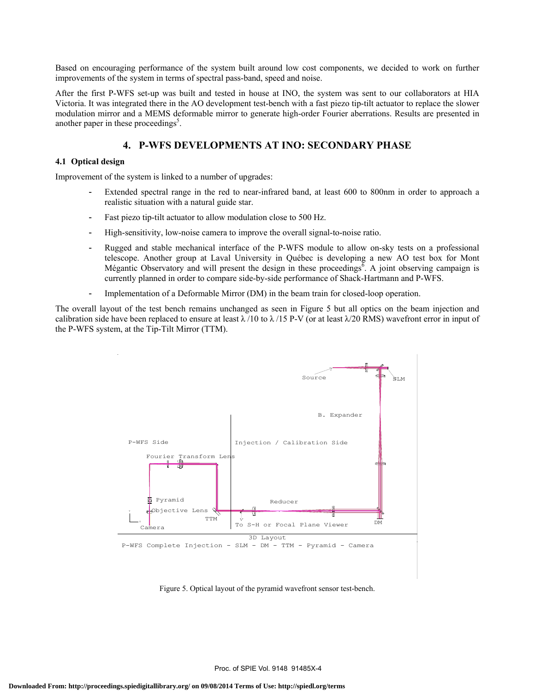Based on encouraging performance of the system built around low cost components, we decided to work on further improvements of the system in terms of spectral pass-band, speed and noise.

After the first P-WFS set-up was built and tested in house at INO, the system was sent to our collaborators at HIA Victoria. It was integrated there in the AO development test-bench with a fast piezo tip-tilt actuator to replace the slower modulation mirror and a MEMS deformable mirror to generate high-order Fourier aberrations. Results are presented in another paper in these proceedings<sup>5</sup>.

## **4. P-WFS DEVELOPMENTS AT INO: SECONDARY PHASE**

### **4.1 Optical design**

Improvement of the system is linked to a number of upgrades:

- Extended spectral range in the red to near-infrared band, at least 600 to 800nm in order to approach a realistic situation with a natural guide star.
- Fast piezo tip-tilt actuator to allow modulation close to 500 Hz.
- High-sensitivity, low-noise camera to improve the overall signal-to-noise ratio.
- Rugged and stable mechanical interface of the P-WFS module to allow on-sky tests on a professional telescope. Another group at Laval University in Québec is developing a new AO test box for Mont Mégantic Observatory and will present the design in these proceedings<sup> $\bar{\delta}$ </sup>. A joint observing campaign is currently planned in order to compare side-by-side performance of Shack-Hartmann and P-WFS.
- Implementation of a Deformable Mirror (DM) in the beam train for closed-loop operation.

The overall layout of the test bench remains unchanged as seen in Figure 5 but all optics on the beam injection and calibration side have been replaced to ensure at least  $\lambda$  /10 to  $\lambda$  /15 P-V (or at least  $\lambda$ /20 RMS) wavefront error in input of the P-WFS system, at the Tip-Tilt Mirror (TTM).



Figure 5. Optical layout of the pyramid wavefront sensor test-bench.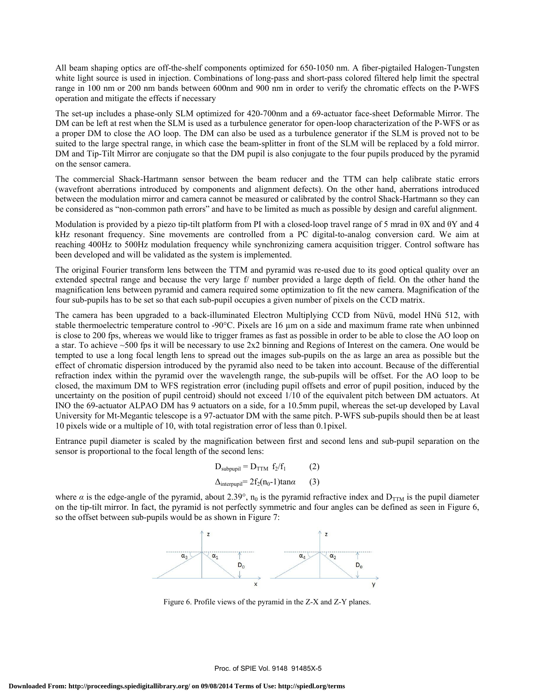All beam shaping optics are off-the-shelf components optimized for 650-1050 nm. A fiber-pigtailed Halogen-Tungsten white light source is used in injection. Combinations of long-pass and short-pass colored filtered help limit the spectral range in 100 nm or 200 nm bands between 600nm and 900 nm in order to verify the chromatic effects on the P-WFS operation and mitigate the effects if necessary

The set-up includes a phase-only SLM optimized for 420-700nm and a 69-actuator face-sheet Deformable Mirror. The DM can be left at rest when the SLM is used as a turbulence generator for open-loop characterization of the P-WFS or as a proper DM to close the AO loop. The DM can also be used as a turbulence generator if the SLM is proved not to be suited to the large spectral range, in which case the beam-splitter in front of the SLM will be replaced by a fold mirror. DM and Tip-Tilt Mirror are conjugate so that the DM pupil is also conjugate to the four pupils produced by the pyramid on the sensor camera.

The commercial Shack-Hartmann sensor between the beam reducer and the TTM can help calibrate static errors (wavefront aberrations introduced by components and alignment defects). On the other hand, aberrations introduced between the modulation mirror and camera cannot be measured or calibrated by the control Shack-Hartmann so they can be considered as "non-common path errors" and have to be limited as much as possible by design and careful alignment.

Modulation is provided by a piezo tip-tilt platform from PI with a closed-loop travel range of 5 mrad in θX and θY and 4 kHz resonant frequency. Sine movements are controlled from a PC digital-to-analog conversion card. We aim at reaching 400Hz to 500Hz modulation frequency while synchronizing camera acquisition trigger. Control software has been developed and will be validated as the system is implemented.

The original Fourier transform lens between the TTM and pyramid was re-used due to its good optical quality over an extended spectral range and because the very large f/ number provided a large depth of field. On the other hand the magnification lens between pyramid and camera required some optimization to fit the new camera. Magnification of the four sub-pupils has to be set so that each sub-pupil occupies a given number of pixels on the CCD matrix.

The camera has been upgraded to a back-illuminated Electron Multiplying CCD from Nüvü, model HNü 512, with stable thermoelectric temperature control to -90°C. Pixels are 16 µm on a side and maximum frame rate when unbinned is close to 200 fps, whereas we would like to trigger frames as fast as possible in order to be able to close the AO loop on a star. To achieve ~500 fps it will be necessary to use 2x2 binning and Regions of Interest on the camera. One would be tempted to use a long focal length lens to spread out the images sub-pupils on the as large an area as possible but the effect of chromatic dispersion introduced by the pyramid also need to be taken into account. Because of the differential refraction index within the pyramid over the wavelength range, the sub-pupils will be offset. For the AO loop to be closed, the maximum DM to WFS registration error (including pupil offsets and error of pupil position, induced by the uncertainty on the position of pupil centroid) should not exceed 1/10 of the equivalent pitch between DM actuators. At INO the 69-actuator ALPAO DM has 9 actuators on a side, for a 10.5mm pupil, whereas the set-up developed by Laval University for Mt-Megantic telescope is a 97-actuator DM with the same pitch. P-WFS sub-pupils should then be at least 10 pixels wide or a multiple of 10, with total registration error of less than 0.1pixel.

Entrance pupil diameter is scaled by the magnification between first and second lens and sub-pupil separation on the sensor is proportional to the focal length of the second lens:

$$
D_{subpupil} = D_{TTM} f_2/f_1 \qquad (2)
$$
  

$$
\Delta_{interpupil} = 2f_2(n_0-1) \tan \alpha \qquad (3)
$$

where  $\alpha$  is the edge-angle of the pyramid, about 2.39°, n<sub>0</sub> is the pyramid refractive index and  $D_{TTM}$  is the pupil diameter on the tip-tilt mirror. In fact, the pyramid is not perfectly symmetric and four angles can be defined as seen in Figure 6, so the offset between sub-pupils would be as shown in Figure 7:



Figure 6. Profile views of the pyramid in the Z-X and Z-Y planes.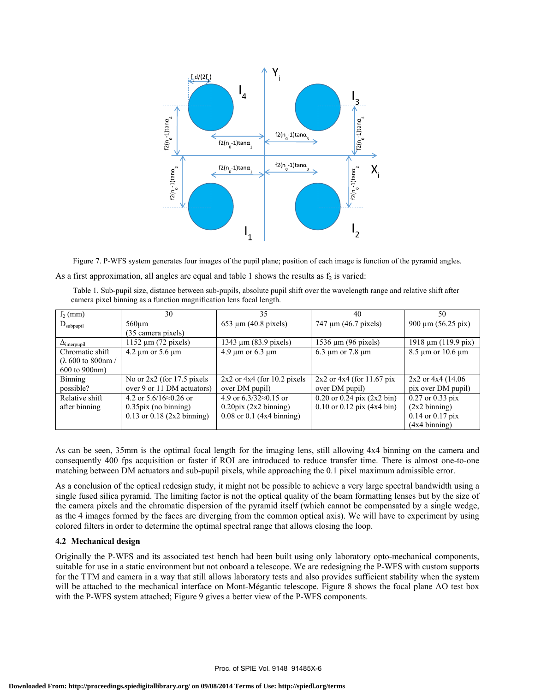

Figure 7. P-WFS system generates four images of the pupil plane; position of each image is function of the pyramid angles.

| As a first approximation, all angles are equal and table 1 shows the results as $f_2$ is varied: |  |  |
|--------------------------------------------------------------------------------------------------|--|--|
|                                                                                                  |  |  |

 Table 1. Sub-pupil size, distance between sub-pupils, absolute pupil shift over the wavelength range and relative shift after camera pixel binning as a function magnification lens focal length.

| $f2$ (mm)           | 30                                | 35                                | 40                                       | 50                          |
|---------------------|-----------------------------------|-----------------------------------|------------------------------------------|-----------------------------|
| $D_{subpupil}$      | $560 \mu m$                       | $653 \mu m (40.8 \text{ pixels})$ | 747 µm (46.7 pixels)                     | 900 $\mu$ m (56.25 pix)     |
|                     | (35 camera pixels)                |                                   |                                          |                             |
| $\Delta$ interpupil | 1152 $\mu$ m (72 pixels)          | 1343 μm (83.9 pixels)             | $1536 \mu m$ (96 pixels)                 | 1918 μm (119.9 pix)         |
| Chromatic shift     | $4.2 \mu m$ or 5.6 $\mu$ m        | $4.9 \mu m$ or 6.3 $\mu m$        | $6.3 \mu m$ or 7.8 $\mu m$               | $8.5 \mu m$ or 10.6 $\mu$ m |
| (λ 600 to 800nm/    |                                   |                                   |                                          |                             |
| 600 to 900nm)       |                                   |                                   |                                          |                             |
| Binning             | No or $2x^2$ (for 17.5 pixels     | $2x2$ or $4x4$ (for 10.2 pixels   | $2x2$ or $4x4$ (for 11.67 pix            | $2x2$ or $4x4$ (14.06       |
| possible?           | over 9 or 11 DM actuators)        | over DM pupil)                    | over DM pupil)                           | pix over DM pupil)          |
| Relative shift      | 4.2 or $5.6/16 \approx 0.26$ or   | 4.9 or $6.3/32 \approx 0.15$ or   | $0.20$ or $0.24$ pix $(2x2 \text{ bin})$ | $0.27$ or $0.33$ pix        |
| after binning       | $0.35\,\mathrm{pix}$ (no binning) | $0.20\text{pix}$ (2x2 binning)    | $0.10$ or $0.12$ pix $(4x4 \text{ bin})$ | $(2x2 \text{ binning})$     |
|                     | $0.13$ or $0.18$ (2x2 binning)    | $0.08$ or $0.1$ (4x4 binning)     |                                          | $0.14$ or $0.17$ pix        |
|                     |                                   |                                   |                                          | $(4x4 \text{ binning})$     |

As can be seen, 35mm is the optimal focal length for the imaging lens, still allowing 4x4 binning on the camera and consequently 400 fps acquisition or faster if ROI are introduced to reduce transfer time. There is almost one-to-one matching between DM actuators and sub-pupil pixels, while approaching the 0.1 pixel maximum admissible error.

As a conclusion of the optical redesign study, it might not be possible to achieve a very large spectral bandwidth using a single fused silica pyramid. The limiting factor is not the optical quality of the beam formatting lenses but by the size of the camera pixels and the chromatic dispersion of the pyramid itself (which cannot be compensated by a single wedge, as the 4 images formed by the faces are diverging from the common optical axis). We will have to experiment by using colored filters in order to determine the optimal spectral range that allows closing the loop.

### **4.2 Mechanical design**

Originally the P-WFS and its associated test bench had been built using only laboratory opto-mechanical components, suitable for use in a static environment but not onboard a telescope. We are redesigning the P-WFS with custom supports for the TTM and camera in a way that still allows laboratory tests and also provides sufficient stability when the system will be attached to the mechanical interface on Mont-Mégantic telescope. Figure 8 shows the focal plane AO test box with the P-WFS system attached; Figure 9 gives a better view of the P-WFS components.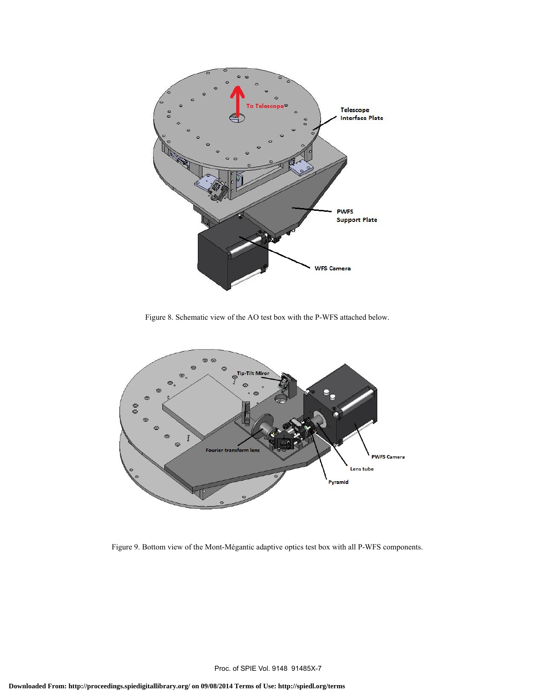

Figure 8. Schematic view of the AO test box with the P-WFS attached below.



Figure 9. Bottom view of the Mont-Mégantic adaptive optics test box with all P-WFS components.